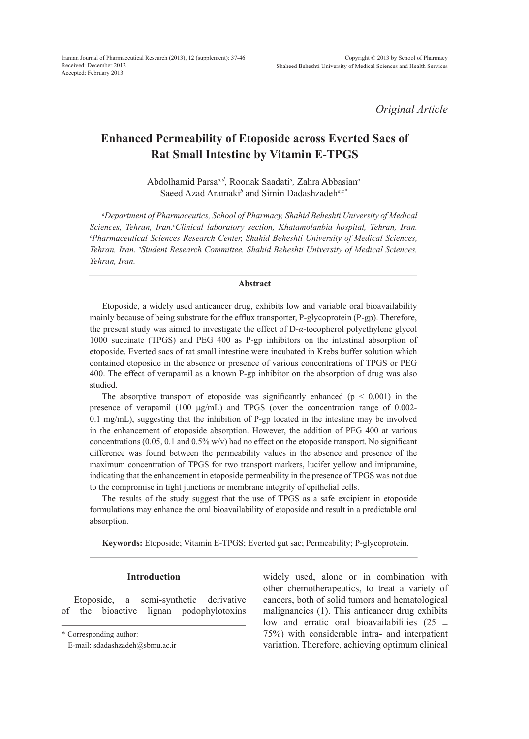*Original Article*

# **Enhanced Permeability of Etoposide across Everted Sacs of Rat Small Intestine by Vitamin E-TPGS**

Abdolhamid Parsa*a,d,* Roonak Saadati*<sup>a</sup> ,* Zahra Abbasian*<sup>a</sup>* Saeed Azad Aramaki*<sup>b</sup>* and Simin Dadashzadeh*a,c\**

*a Department of Pharmaceutics, School of Pharmacy, Shahid Beheshti University of Medical*  Sciences, Tehran, Iran.<sup>b</sup>Clinical laboratory section, Khatamolanbia hospital, Tehran, Iran.<br><sup>c</sup>Pharmaceutical Sciences Research Center Shahid Beheshti University of Medical Sciences *Pharmaceutical Sciences Research Center, Shahid Beheshti University of Medical Sciences, Tehran, Iran. d Student Research Committee, Shahid Beheshti University of Medical Sciences, Tehran, Iran.*

#### **Abstract**

Etoposide, a widely used anticancer drug, exhibits low and variable oral bioavailability mainly because of being substrate for the efflux transporter, P-glycoprotein (P-gp). Therefore, the present study was aimed to investigate the effect of D-*α*-tocopherol polyethylene glycol 1000 succinate (TPGS) and PEG 400 as P-gp inhibitors on the intestinal absorption of etoposide. Everted sacs of rat small intestine were incubated in Krebs buffer solution which contained etoposide in the absence or presence of various concentrations of TPGS or PEG 400. The effect of verapamil as a known P-gp inhibitor on the absorption of drug was also studied.

The absorptive transport of etoposide was significantly enhanced ( $p < 0.001$ ) in the presence of verapamil (100  $\mu$ g/mL) and TPGS (over the concentration range of 0.002-0.1 mg/mL), suggesting that the inhibition of P-gp located in the intestine may be involved in the enhancement of etoposide absorption. However, the addition of PEG 400 at various concentrations (0.05, 0.1 and 0.5% w/v) had no effect on the etoposide transport. No significant difference was found between the permeability values in the absence and presence of the maximum concentration of TPGS for two transport markers, lucifer yellow and imipramine, indicating that the enhancement in etoposide permeability in the presence of TPGS was not due to the compromise in tight junctions or membrane integrity of epithelial cells.

The results of the study suggest that the use of TPGS as a safe excipient in etoposide formulations may enhance the oral bioavailability of etoposide and result in a predictable oral absorption.

**Keywords:** Etoposide; Vitamin E-TPGS; Everted gut sac; Permeability; P-glycoprotein.

## **Introduction**

Etoposide, a semi-synthetic derivative of the bioactive lignan podophylotoxins

widely used, alone or in combination with other chemotherapeutics, to treat a variety of cancers, both of solid tumors and hematological malignancies (1). This anticancer drug exhibits low and erratic oral bioavailabilities  $(25 \pm 1)$ 75%) with considerable intra- and interpatient variation. Therefore, achieving optimum clinical

<sup>\*</sup> Corresponding author:

E-mail: sdadashzadeh@sbmu.ac.ir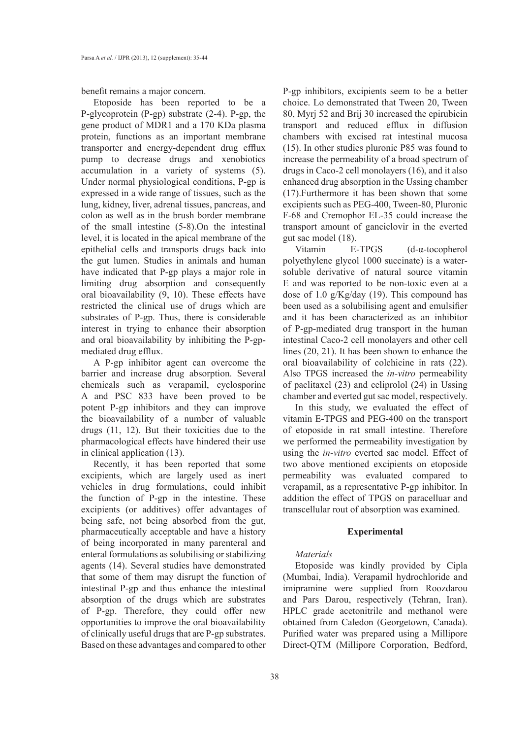benefit remains a major concern.

Etoposide has been reported to be a P-glycoprotein (P-gp) substrate (2-4). P-gp, the gene product of MDR1 and a 170 KDa plasma protein, functions as an important membrane transporter and energy-dependent drug efflux pump to decrease drugs and xenobiotics accumulation in a variety of systems (5). Under normal physiological conditions, P-gp is expressed in a wide range of tissues, such as the lung, kidney, liver, adrenal tissues, pancreas, and colon as well as in the brush border membrane of the small intestine (5-8).On the intestinal level, it is located in the apical membrane of the epithelial cells and transports drugs back into the gut lumen. Studies in animals and human have indicated that P-gp plays a major role in limiting drug absorption and consequently oral bioavailability (9, 10). These effects have restricted the clinical use of drugs which are substrates of P-gp. Thus, there is considerable interest in trying to enhance their absorption and oral bioavailability by inhibiting the P-gpmediated drug efflux.

A P-gp inhibitor agent can overcome the barrier and increase drug absorption. Several chemicals such as verapamil, cyclosporine A and PSC 833 have been proved to be potent P-gp inhibitors and they can improve the bioavailability of a number of valuable drugs (11, 12). But their toxicities due to the pharmacological effects have hindered their use in clinical application (13).

Recently, it has been reported that some excipients, which are largely used as inert vehicles in drug formulations, could inhibit the function of P-gp in the intestine. These excipients (or additives) offer advantages of being safe, not being absorbed from the gut, pharmaceutically acceptable and have a history of being incorporated in many parenteral and enteral formulations as solubilising or stabilizing agents (14). Several studies have demonstrated that some of them may disrupt the function of intestinal P-gp and thus enhance the intestinal absorption of the drugs which are substrates of P-gp. Therefore, they could offer new opportunities to improve the oral bioavailability of clinically useful drugs that are P-gp substrates. Based on these advantages and compared to other

P-gp inhibitors, excipients seem to be a better choice. Lo demonstrated that Tween 20, Tween 80, Myrj 52 and Brij 30 increased the epirubicin transport and reduced efflux in diffusion chambers with excised rat intestinal mucosa (15). In other studies pluronic P85 was found to increase the permeability of a broad spectrum of drugs in Caco-2 cell monolayers (16), and it also enhanced drug absorption in the Ussing chamber (17).Furthermore it has been shown that some excipients such as PEG-400, Tween-80, Pluronic F-68 and Cremophor EL-35 could increase the transport amount of ganciclovir in the everted gut sac model (18).

Vitamin E-TPGS (d-α-tocopherol polyethylene glycol 1000 succinate) is a watersoluble derivative of natural source vitamin E and was reported to be non-toxic even at a dose of 1.0 g/Kg/day (19). This compound has been used as a solubilising agent and emulsifier and it has been characterized as an inhibitor of P-gp-mediated drug transport in the human intestinal Caco-2 cell monolayers and other cell lines (20, 21). It has been shown to enhance the oral bioavailability of colchicine in rats (22). Also TPGS increased the *in-vitro* permeability of paclitaxel (23) and celiprolol (24) in Ussing chamber and everted gut sac model, respectively.

In this study, we evaluated the effect of vitamin E-TPGS and PEG-400 on the transport of etoposide in rat small intestine. Therefore we performed the permeability investigation by using the *in-vitro* everted sac model. Effect of two above mentioned excipients on etoposide permeability was evaluated compared to verapamil, as a representative P-gp inhibitor. In addition the effect of TPGS on paracelluar and transcellular rout of absorption was examined.

#### **Experimental**

## *Materials*

Etoposide was kindly provided by Cipla (Mumbai, India). Verapamil hydrochloride and imipramine were supplied from Roozdarou and Pars Darou, respectively (Tehran, Iran). HPLC grade acetonitrile and methanol were obtained from Caledon (Georgetown, Canada). Purified water was prepared using a Millipore Direct-QTM (Millipore Corporation, Bedford,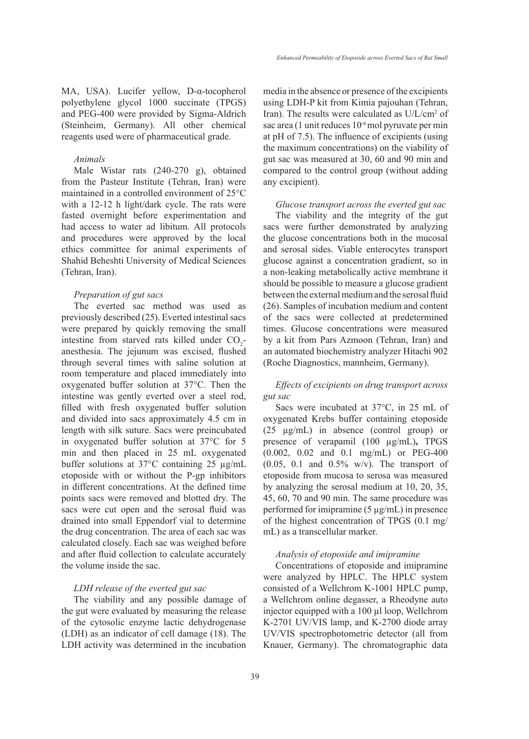MA, USA). Lucifer yellow, D-α-tocopherol polyethylene glycol 1000 succinate (TPGS) and PEG-400 were provided by Sigma-Aldrich (Steinheim, Germany). All other chemical reagents used were of pharmaceutical grade.

### *Animals*

Male Wistar rats (240-270 g), obtained from the Pasteur Institute (Tehran, Iran) were maintained in a controlled environment of 25°C with a 12-12 h light/dark cycle. The rats were fasted overnight before experimentation and had access to water ad libitum. All protocols and procedures were approved by the local ethics committee for animal experiments of Shahid Beheshti University of Medical Sciences (Tehran, Iran).

## *Preparation of gut sacs*

The everted sac method was used as previously described (25). Everted intestinal sacs were prepared by quickly removing the small intestine from starved rats killed under  $CO_2$ anesthesia. The jejunum was excised, flushed through several times with saline solution at room temperature and placed immediately into oxygenated buffer solution at 37°C. Then the intestine was gently everted over a steel rod, filled with fresh oxygenated buffer solution and divided into sacs approximately 4.5 cm in length with silk suture. Sacs were preincubated in oxygenated buffer solution at 37°C for 5 min and then placed in 25 mL oxygenated buffer solutions at 37°C containing 25 µg/mL etoposide with or without the P-gp inhibitors in different concentrations. At the defined time points sacs were removed and blotted dry. The sacs were cut open and the serosal fluid was drained into small Eppendorf vial to determine the drug concentration. The area of each sac was calculated closely. Each sac was weighed before and after fluid collection to calculate accurately the volume inside the sac.

#### *LDH release of the everted gut sac*

The viability and any possible damage of the gut were evaluated by measuring the release of the cytosolic enzyme lactic dehydrogenase (LDH) as an indicator of cell damage (18). The LDH activity was determined in the incubation media in the absence or presence of the excipients using LDH-P kit from Kimia pajouhan (Tehran, Iran). The results were calculated as U/L/cm<sup>2</sup> of sac area (1 unit reduces 10-6 mol pyruvate per min at pH of 7.5). The influence of excipients (using the maximum concentrations) on the viability of gut sac was measured at 30, 60 and 90 min and compared to the control group (without adding any excipient).

*Glucose transport across the everted gut sac*

The viability and the integrity of the gut sacs were further demonstrated by analyzing the glucose concentrations both in the mucosal and serosal sides. Viable enterocytes transport glucose against a concentration gradient, so in a non-leaking metabolically active membrane it should be possible to measure a glucose gradient between the external medium and the serosal fluid (26). Samples of incubation medium and content of the sacs were collected at predetermined times. Glucose concentrations were measured by a kit from Pars Azmoon (Tehran, Iran) and an automated biochemistry analyzer Hitachi 902 (Roche Diagnostics, mannheim, Germany).

## *Effects of excipients on drug transport across gut sac*

Sacs were incubated at 37°C, in 25 mL of oxygenated Krebs buffer containing etoposide (25 µg/mL) in absence (control group) or presence of verapamil (100 µg/mL)**,** TPGS (0.002, 0.02 and 0.1 mg/mL) or PEG-400  $(0.05, 0.1$  and  $0.5\%$  w/v). The transport of etoposide from mucosa to serosa was measured by analyzing the serosal medium at 10, 20, 35, 45, 60, 70 and 90 min. The same procedure was performed for imipramine (5 µg/mL) in presence of the highest concentration of TPGS (0.1 mg/ mL) as a transcellular marker.

#### *Analysis of etoposide and imipramine*

Concentrations of etoposide and imipramine were analyzed by HPLC. The HPLC system consisted of a Wellchrom K-1001 HPLC pump, a Wellchrom online degasser, a Rheodyne auto injector equipped with a 100 µl loop, Wellchrom K-2701 UV/VIS lamp, and K-2700 diode array UV/VIS spectrophotometric detector (all from Knauer, Germany). The chromatographic data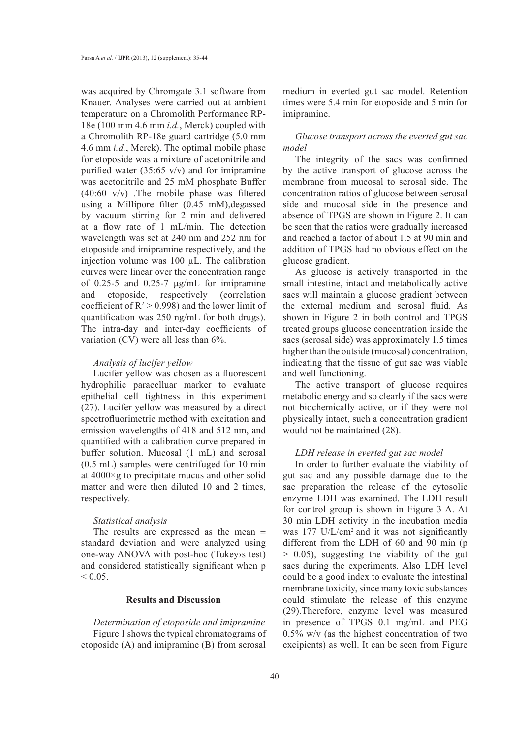was acquired by Chromgate 3.1 software from Knauer. Analyses were carried out at ambient temperature on a Chromolith Performance RP-18e (100 mm 4.6 mm *i.d.*, Merck) coupled with a Chromolith RP-18e guard cartridge (5.0 mm 4.6 mm *i.d.*, Merck). The optimal mobile phase for etoposide was a mixture of acetonitrile and purified water  $(35:65 \text{ v/v})$  and for imipramine was acetonitrile and 25 mM phosphate Buffer (40:60 v/v) .The mobile phase was filtered using a Millipore filter (0.45 mM),degassed by vacuum stirring for 2 min and delivered at a flow rate of 1 mL/min. The detection wavelength was set at 240 nm and 252 nm for etoposide and imipramine respectively, and the injection volume was 100 µL. The calibration curves were linear over the concentration range of 0.25-5 and 0.25-7  $\mu$ g/mL for imipramine and etoposide, respectively (correlation coefficient of  $R^2 > 0.998$ ) and the lower limit of quantification was 250 ng/mL for both drugs). The intra-day and inter-day coefficients of variation (CV) were all less than 6%.

## *Analysis of lucifer yellow*

Lucifer yellow was chosen as a fluorescent hydrophilic paracelluar marker to evaluate epithelial cell tightness in this experiment (27). Lucifer yellow was measured by a direct spectrofluorimetric method with excitation and emission wavelengths of 418 and 512 nm, and quantified with a calibration curve prepared in buffer solution. Mucosal (1 mL) and serosal (0.5 mL) samples were centrifuged for 10 min at 4000×g to precipitate mucus and other solid matter and were then diluted 10 and 2 times, respectively.

#### *Statistical analysis*

The results are expressed as the mean  $\pm$ standard deviation and were analyzed using one-way ANOVA with post-hoc (Tukey›s test) and considered statistically significant when p  $< 0.05$ .

# **Results and Discussion**

*Determination of etoposide and imipramine* Figure 1 shows the typical chromatograms of etoposide (A) and imipramine (B) from serosal

medium in everted gut sac model. Retention times were 5.4 min for etoposide and 5 min for imipramine.

# *Glucose transport across the everted gut sac model*

The integrity of the sacs was confirmed by the active transport of glucose across the membrane from mucosal to serosal side. The concentration ratios of glucose between serosal side and mucosal side in the presence and absence of TPGS are shown in Figure 2. It can be seen that the ratios were gradually increased and reached a factor of about 1.5 at 90 min and addition of TPGS had no obvious effect on the glucose gradient.

As glucose is actively transported in the small intestine, intact and metabolically active sacs will maintain a glucose gradient between the external medium and serosal fluid. As shown in Figure 2 in both control and TPGS treated groups glucose concentration inside the sacs (serosal side) was approximately 1.5 times higher than the outside (mucosal) concentration, indicating that the tissue of gut sac was viable and well functioning.

The active transport of glucose requires metabolic energy and so clearly if the sacs were not biochemically active, or if they were not physically intact, such a concentration gradient would not be maintained (28).

#### *LDH release in everted gut sac model*

In order to further evaluate the viability of gut sac and any possible damage due to the sac preparation the release of the cytosolic enzyme LDH was examined. The LDH result for control group is shown in Figure 3 A. At 30 min LDH activity in the incubation media was 177 U/L/cm<sup>2</sup> and it was not significantly different from the LDH of 60 and 90 min (p > 0.05), suggesting the viability of the gut sacs during the experiments. Also LDH level could be a good index to evaluate the intestinal membrane toxicity, since many toxic substances could stimulate the release of this enzyme (29).Therefore, enzyme level was measured in presence of TPGS 0.1 mg/mL and PEG 0.5% w/v (as the highest concentration of two excipients) as well. It can be seen from Figure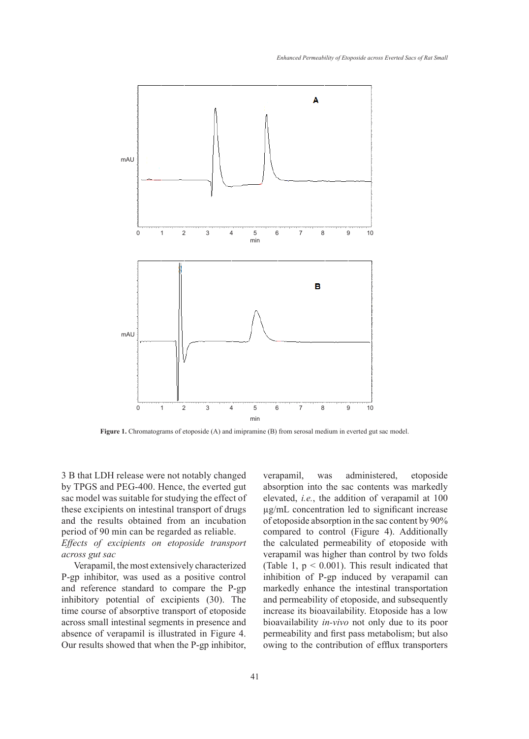

**Figure 1.** Chromatograms of etoposide (A) and imipramine (B) from serosal medium in everted gut sac model.

3 B that LDH release were not notably changed by TPGS and PEG-400. Hence, the everted gut sac model was suitable for studying the effect of these excipients on intestinal transport of drugs and the results obtained from an incubation period of 90 min can be regarded as reliable.

*Effects of excipients on etoposide transport across gut sac*

Verapamil, the most extensively characterized P-gp inhibitor, was used as a positive control and reference standard to compare the P-gp inhibitory potential of excipients (30). The time course of absorptive transport of etoposide across small intestinal segments in presence and absence of verapamil is illustrated in Figure 4. Our results showed that when the P-gp inhibitor, verapamil, was administered, etoposide absorption into the sac contents was markedly elevated, *i.e.*, the addition of verapamil at 100 µg/mL concentration led to significant increase of etoposide absorption in the sac content by 90% compared to control (Figure 4). Additionally the calculated permeability of etoposide with verapamil was higher than control by two folds (Table 1,  $p < 0.001$ ). This result indicated that inhibition of P-gp induced by verapamil can markedly enhance the intestinal transportation and permeability of etoposide, and subsequently increase its bioavailability. Etoposide has a low bioavailability *in-vivo* not only due to its poor permeability and first pass metabolism; but also owing to the contribution of efflux transporters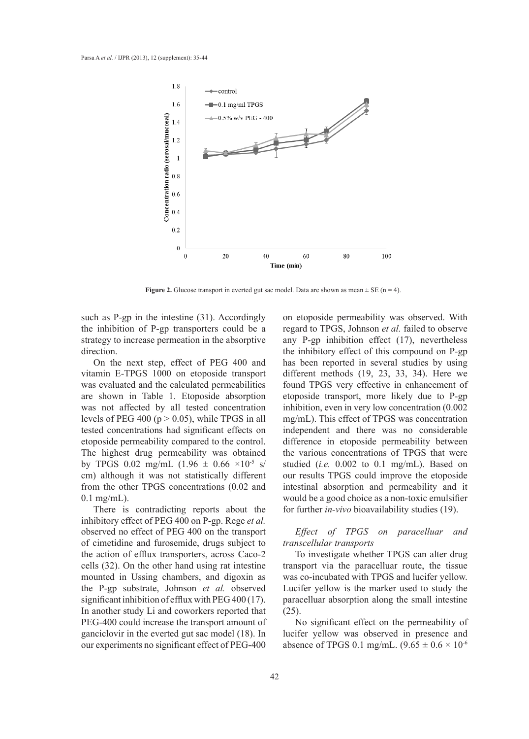

**Figure 2.** Glucose transport in everted gut sac model. Data are shown as mean  $\pm$  SE (n = 4).

such as P-gp in the intestine (31). Accordingly the inhibition of P-gp transporters could be a strategy to increase permeation in the absorptive direction.

On the next step, effect of PEG 400 and vitamin E-TPGS 1000 on etoposide transport was evaluated and the calculated permeabilities are shown in Table 1. Etoposide absorption was not affected by all tested concentration levels of PEG 400 ( $p > 0.05$ ), while TPGS in all tested concentrations had significant effects on etoposide permeability compared to the control. The highest drug permeability was obtained by TPGS 0.02 mg/mL  $(1.96 \pm 0.66 \times 10^{-5} \text{ s})$ cm) although it was not statistically different from the other TPGS concentrations (0.02 and 0.1 mg/mL).

There is contradicting reports about the inhibitory effect of PEG 400 on P-gp. Rege *et al.* observed no effect of PEG 400 on the transport of cimetidine and furosemide, drugs subject to the action of efflux transporters, across Caco-2 cells (32). On the other hand using rat intestine mounted in Ussing chambers, and digoxin as the P-gp substrate, Johnson *et al.* observed significant inhibition of efflux with PEG 400 (17). In another study Li and coworkers reported that PEG-400 could increase the transport amount of ganciclovir in the everted gut sac model (18). In our experiments no significant effect of PEG-400

on etoposide permeability was observed. With regard to TPGS, Johnson *et al.* failed to observe any P-gp inhibition effect (17), nevertheless the inhibitory effect of this compound on P-gp has been reported in several studies by using different methods (19, 23, 33, 34). Here we found TPGS very effective in enhancement of etoposide transport, more likely due to P-gp inhibition, even in very low concentration (0.002 mg/mL). This effect of TPGS was concentration independent and there was no considerable difference in etoposide permeability between the various concentrations of TPGS that were studied (*i.e.* 0.002 to 0.1 mg/mL). Based on our results TPGS could improve the etoposide intestinal absorption and permeability and it would be a good choice as a non-toxic emulsifier for further *in-vivo* bioavailability studies (19).

## *Effect of TPGS on paracelluar and transcellular transports*

To investigate whether TPGS can alter drug transport via the paracelluar route, the tissue was co-incubated with TPGS and lucifer yellow. Lucifer yellow is the marker used to study the paracelluar absorption along the small intestine (25).

No significant effect on the permeability of lucifer yellow was observed in presence and absence of TPGS 0.1 mg/mL.  $(9.65 \pm 0.6 \times 10^{-6})$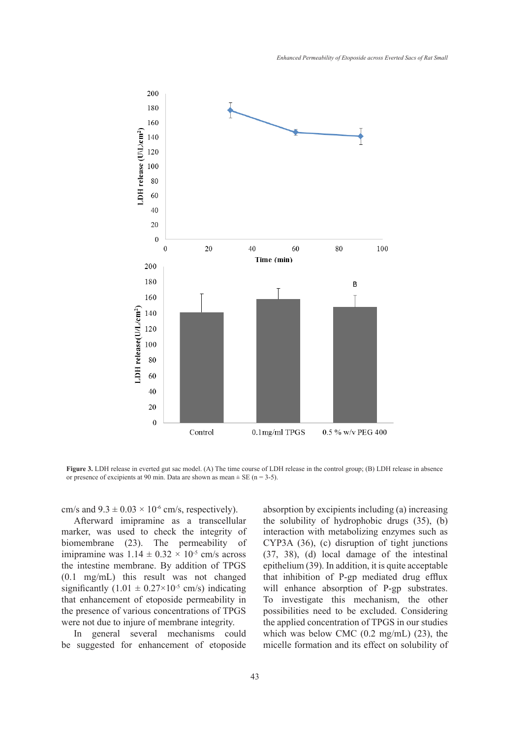

**Figure 3.** LDH release in everted gut sac model. (A) The time course of LDH release in the control group; (B) LDH release in absence or presence of excipients at 90 min. Data are shown as mean  $\pm$  SE (n = 3-5).

cm/s and  $9.3 \pm 0.03 \times 10^{-6}$  cm/s, respectively).

Afterward imipramine as a transcellular marker, was used to check the integrity of biomembrane (23). The permeability of imipramine was  $1.14 \pm 0.32 \times 10^{-5}$  cm/s across the intestine membrane. By addition of TPGS (0.1 mg/mL) this result was not changed significantly  $(1.01 \pm 0.27 \times 10^{-5} \text{ cm/s})$  indicating that enhancement of etoposide permeability in the presence of various concentrations of TPGS were not due to injure of membrane integrity.

In general several mechanisms could be suggested for enhancement of etoposide absorption by excipients including (a) increasing the solubility of hydrophobic drugs (35), (b) interaction with metabolizing enzymes such as CYP3A (36), (c) disruption of tight junctions (37, 38), (d) local damage of the intestinal epithelium (39). In addition, it is quite acceptable that inhibition of P-gp mediated drug efflux will enhance absorption of P-gp substrates. To investigate this mechanism, the other possibilities need to be excluded. Considering the applied concentration of TPGS in our studies which was below CMC (0.2 mg/mL) (23), the micelle formation and its effect on solubility of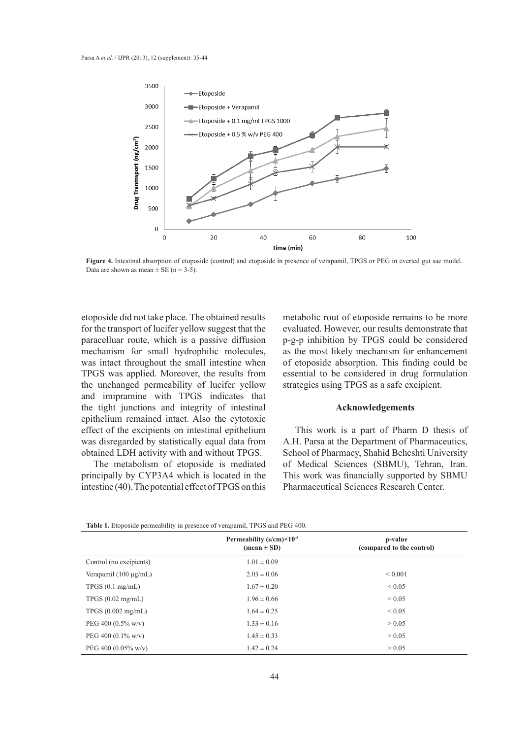

**Figure 4.** Intestinal absorption of etoposide (control) and etoposide in presence of verapamil, TPGS or PEG in everted gut sac model. Data are shown as mean  $\pm$  SE (n = 3-5).

etoposide did not take place. The obtained results for the transport of lucifer yellow suggest that the paracelluar route, which is a passive diffusion mechanism for small hydrophilic molecules, was intact throughout the small intestine when TPGS was applied. Moreover, the results from the unchanged permeability of lucifer yellow and imipramine with TPGS indicates that the tight junctions and integrity of intestinal epithelium remained intact. Also the cytotoxic effect of the excipients on intestinal epithelium was disregarded by statistically equal data from obtained LDH activity with and without TPGS.

The metabolism of etoposide is mediated principally by CYP3A4 which is located in the intestine (40). The potential effect of TPGS on this

metabolic rout of etoposide remains to be more evaluated. However, our results demonstrate that p-g-p inhibition by TPGS could be considered as the most likely mechanism for enhancement of etoposide absorption. This finding could be essential to be considered in drug formulation strategies using TPGS as a safe excipient.

## **Acknowledgements**

This work is a part of Pharm D thesis of A.H. Parsa at the Department of Pharmaceutics, School of Pharmacy, Shahid Beheshti University of Medical Sciences (SBMU), Tehran, Iran. This work was financially supported by SBMU Pharmaceutical Sciences Research Center.

|                                | Permeability $(s/cm) \times 10^{-5}$<br>$(\text{mean} \pm \text{SD})$ | p-value<br>(compared to the control) |
|--------------------------------|-----------------------------------------------------------------------|--------------------------------------|
| Control (no excipients)        | $1.01 \pm 0.09$                                                       |                                      |
| Verapamil $(100 \mu g/mL)$     | $2.03 \pm 0.06$                                                       | ${}_{0.001}$                         |
| TPGS(0.1 mg/mL)                | $1.67 \pm 0.20$                                                       | ${}_{0.05}$                          |
| TPGS $(0.02 \text{ mg/mL})$    | $1.96 \pm 0.66$                                                       | ${}< 0.05$                           |
| TPGS (0.002 mg/mL)             | $1.64 \pm 0.25$                                                       | ${}< 0.05$                           |
| PEG 400 $(0.5\% \text{ w/v})$  | $1.33 \pm 0.16$                                                       | > 0.05                               |
| PEG 400 $(0.1\%$ w/v)          | $1.45 \pm 0.33$                                                       | > 0.05                               |
| PEG 400 $(0.05\% \text{ w/v})$ | $1.42 \pm 0.24$                                                       | > 0.05                               |

**Table 1.** Etoposide permeability in presence of verapamil, TPGS and PEG 400.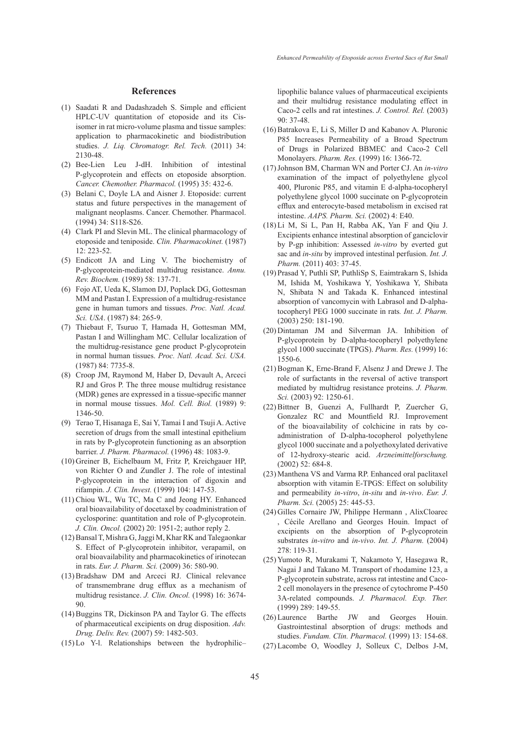#### **References**

- Saadati R and Dadashzadeh S. Simple and efficient (1) HPLC-UV quantitation of etoposide and its Cisisomer in rat micro-volume plasma and tissue samples: application to pharmacokinetic and biodistribution studies. *J. Liq. Chromatogr. Rel. Tech.* (2011) 34: 2130-48.
- (2) Bee-Lien Leu J-dH. Inhibition of intestinal P-glycoprotein and effects on etoposide absorption. *Cancer. Chemother. Pharmacol.* (1995) 35: 432-6.
- (3) Belani C, Doyle LA and Aisner J. Etoposide: current status and future perspectives in the management of malignant neoplasms. Cancer. Chemother. Pharmacol. (1994) 34: S118-S26.
- Clark PI and Slevin ML. The clinical pharmacology of (4) etoposide and teniposide. *Clin. Pharmacokinet.* (1987) 12: 223-52.
- Endicott JA and Ling V. The biochemistry of (5) P-glycoprotein-mediated multidrug resistance. *Annu. Rev. Biochem.* (1989) 58: 137-71.
- Fojo AT, Ueda K, Slamon DJ, Poplack DG, Gottesman (6) MM and Pastan I. Expression of a multidrug-resistance gene in human tumors and tissues. *Proc. Natl. Acad. Sci. USA*. (1987) 84: 265-9.
- (7) Thiebaut F, Tsuruo T, Hamada H, Gottesman MM, Pastan I and Willingham MC. Cellular localization of the multidrug-resistance gene product P-glycoprotein in normal human tissues. *Proc. Natl. Acad. Sci. USA.* (1987) 84: 7735-8.
- (8) Croop JM, Raymond M, Haber D, Devault A, Arceci RJ and Gros P. The three mouse multidrug resistance (MDR) genes are expressed in a tissue-specific manner in normal mouse tissues. *Mol. Cell. Biol.* (1989) 9: 1346-50.
- Terao T, Hisanaga E, Sai Y, Tamai I and Tsuji A. Active (9) secretion of drugs from the small intestinal epithelium in rats by P-glycoprotein functioning as an absorption barrier. *J. Pharm. Pharmacol.* (1996) 48: 1083-9.
- (10) Greiner B, Eichelbaum M, Fritz P, Kreichgauer HP, von Richter O and Zundler J. The role of intestinal P-glycoprotein in the interaction of digoxin and rifampin. *J. Clin. Invest.* (1999) 104: 147-53.
- (11) Chiou WL, Wu TC, Ma C and Jeong HY. Enhanced oral bioavailability of docetaxel by coadministration of cyclosporine: quantitation and role of P-glycoprotein. *J. Clin. Oncol.* (2002) 20: 1951-2; author reply 2.
- (12) Bansal T, Mishra G, Jaggi M, Khar RK and Talegaonkar S. Effect of P-glycoprotein inhibitor, verapamil, on oral bioavailability and pharmacokinetics of irinotecan in rats. *Eur. J. Pharm. Sci.* (2009) 36: 580-90.
- (13) Bradshaw DM and Arceci RJ. Clinical relevance of transmembrane drug efflux as a mechanism of multidrug resistance. *J. Clin. Oncol.* (1998) 16: 3674- 90.
- (14) Buggins TR, Dickinson PA and Taylor G. The effects of pharmaceutical excipients on drug disposition. *Adv. Drug. Deliv. Rev.* (2007) 59: 1482-503.
- $(15)$  Lo Y-1. Relationships between the hydrophilic-

lipophilic balance values of pharmaceutical excipients and their multidrug resistance modulating effect in Caco-2 cells and rat intestines. *J. Control. Rel.* (2003) 90: 37-48.

- $(16)$  Batrakova E, Li S, Miller D and Kabanov A. Pluronic P85 Increases Permeability of a Broad Spectrum of Drugs in Polarized BBMEC and Caco-2 Cell Monolayers. *Pharm. Res.* (1999) 16: 1366-72.
- Johnson BM, Charman WN and Porter CJ. An *in-vitro* (17) examination of the impact of polyethylene glycol 400, Pluronic P85, and vitamin E d-alpha-tocopheryl polyethylene glycol 1000 succinate on P-glycoprotein efflux and enterocyte-based metabolism in excised rat intestine. *AAPS. Pharm. Sci.* (2002) 4: E40.
- Li M, Si L, Pan H, Rabba AK, Yan F and Qiu J. (18) Excipients enhance intestinal absorption of ganciclovir by P-gp inhibition: Assessed *in-vitro* by everted gut sac and *in-situ* by improved intestinal perfusion. *Int. J. Pharm.* (2011) 403: 37-45.
- (19) Prasad Y, Puthli SP, PuthliSp S, Eaimtrakarn S, Ishida M, Ishida M, Yoshikawa Y, Yoshikawa Y, Shibata N, Shibata N and Takada K. Enhanced intestinal absorption of vancomycin with Labrasol and D-alphatocopheryl PEG 1000 succinate in rats*. Int. J. Pharm.* (2003) 250: 181-190.
- $(20)$  Dintaman JM and Silverman JA. Inhibition of P-glycoprotein by D-alpha-tocopheryl polyethylene glycol 1000 succinate (TPGS). *Pharm. Res.* (1999) 16: 1550-6.
- (21) Bogman K, Erne-Brand F, Alsenz J and Drewe J. The role of surfactants in the reversal of active transport mediated by multidrug resistance proteins. *J. Pharm. Sci.* (2003) 92: 1250-61.
- Bittner B, Guenzi A, Fullhardt P, Zuercher G, (22) Gonzalez RC and Mountfield RJ. Improvement of the bioavailability of colchicine in rats by coadministration of D-alpha-tocopherol polyethylene glycol 1000 succinate and a polyethoxylated derivative of 12-hydroxy-stearic acid. *Arzneimittelforschung.* (2002) 52: 684-8.
- (23) Manthena VS and Varma RP. Enhanced oral paclitaxel absorption with vitamin E-TPGS: Effect on solubility and permeability *in-vitro*, *in-situ* and *in-vivo*. *Eur. J. Pharm. Sci.* (2005) 25: 445-53.
- (24) Gilles Cornaire JW, Philippe Hermann, AlixCloarec , Cécile Arellano and Georges Houin. Impact of excipients on the absorption of P-glycoprotein substrates *in-vitro* and *in-vivo*. *Int. J. Pharm.* (2004)  $278 \cdot 119 - 31$
- (25) Yumoto R, Murakami T, Nakamoto Y, Hasegawa R, Nagai J and Takano M. Transport of rhodamine 123, a P-glycoprotein substrate, across rat intestine and Caco-2 cell monolayers in the presence of cytochrome P-450 3A-related compounds. *J. Pharmacol. Exp. Ther.* (1999) 289: 149-55.
- Laurence Barthe JW and Georges Houin. (26) Gastrointestinal absorption of drugs: methods and studies. *Fundam. Clin. Pharmacol.* (1999) 13: 154-68.
- Lacombe O, Woodley J, Solleux C, Delbos J-M, (27)